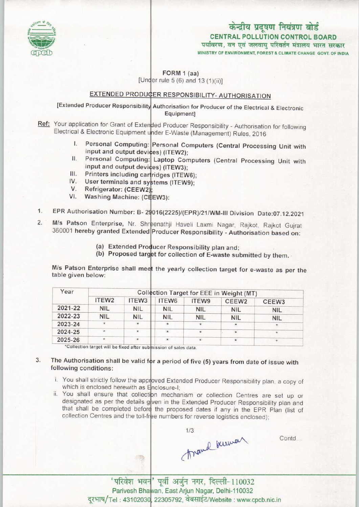

## केन्द्रीय प्रदूषण नियंत्रण बोर्ड CENTRAL POLLUTION CONTROL BOARD पर्यावरण, वन एवं जलवाय परिवर्तन मंत्रालय भारत सरकार

MINISTRY OF ENVIRONMENT, FOREST & CLIMATE CHANGE GOVT. OF INDIA

FORM 1 (aa)

[Under rule 5 (6) and 13 (1)(ii)]

# EXTENDED PRODUCER RESPONSIBILITY- AUTHORISATION

[Extended Producer Responsibility Authorisation for Producer of the Electrical & Electronic Equipment]

- Ref: Your application for Grant of Extended Producer Responsibility Authorisation for following Electrical & Electronic Equipment under E-Waste (Management) Rules, 2016
	- Personal Computing: Personal Computers (Central Processing Unit with input and output devices) (ITEW2); I.
	- II. Personal Computing: Laptop Computers (Central Processing Unit with input and output devices) (ITEW3); in. Fersonal Computing: Laptop Compi<br>
	input and output devices) (ITEW3);<br>
	III. Printers including cartridges (ITEW6);
	-
	- the and output devices) (ITEWS);<br>III. Printers including cartridges (ITEW6);<br>IV. User terminals and systems (ITEW9); W. Printers including can<br>V. Befrigerator: (CEEW2<br>V. Moobing Moobing (C
	-
	- V. Refrigerator: (CEEW2);<br>VI. Washing Machine: (CEEW3):
- VI. Washing Machine: (CEEW3):<br>1. EPR Authorisation Number: B- 29016(2225)/(EPR)/21/WM-III Division Date:07.12.2021
- 1. EPR Authorisation Number: B- 29016(2225)/(EPR)/21/WM-III Division Date:07.12.202<br>2. M/s Patson Enterprise, Nr. Shreenathji Haveli Laxmi Nagar, Rajkot, Rajkot Gujrat 360001 hereby granted Extended Producer Responsibility - Authorisation based on
	- (a) Extended Producer Responsibility plan and;
	- (a) Extended Producer Responsibility plan and;<br>(b) Proposed target for collection of E-waste submitted by them.

M/s Patson Enterprise shall meet the yearly collection target for e-waste as per the table given below:

| Year    | Collection Target for EEE in Weight (MT) |                   |                   |            |                   |                   |
|---------|------------------------------------------|-------------------|-------------------|------------|-------------------|-------------------|
|         | ITEW <sub>2</sub>                        | ITEW <sub>3</sub> | ITEW <sub>6</sub> | ITEW9      | CEEW <sub>2</sub> | CEEW <sub>3</sub> |
| 2021-22 | <b>NIL</b>                               | <b>NIL</b>        | <b>NIL</b>        | <b>NIL</b> | <b>NIL</b>        | <b>NIL</b>        |
| 2022-23 | <b>NIL</b>                               | <b>NIL</b>        | <b>NIL</b>        | <b>NIL</b> | <b>NIL</b>        | <b>NIL</b>        |
| 2023-24 | $\star$                                  |                   | $\star$           | $\star$    | $^{\star}$        | $\star$           |
| 2024-25 | $\star$                                  | $\star$           | $\star$           | $\star$    | $\star$           | $\star$           |
| 2025-26 | $\star$                                  | *                 | $\frac{1}{2}$     |            | $\star$           | $\mathcal{H}$     |

"Collection target will be fixed after submission of sales data.

糖

#### The Authorisation shall be valid for a period of five (5) years from date of issue with 3. following conditions:

- i. You shall strictly follow the approved Extended Producer Responsibility plan, a copy of which is enclosed herewith as Enclosure-I
- ii. You shall ensure that collection mechanism or collection Centres are set up or designated as per the details gven in the Extended Producer Responsibility plan and that shall be completed before the proposed dates if any in the EPR Plan (list of collection Centres and the toll-free numbers for reverse logistics enclosed)



Contd...

'परिवेश भवन' पूर्वी अर्जुन नगर, दिल्ली-110032 Parivesh Bhawan, East Arjun Nagar, Delhi-110032 - Tel: 43102030, 22305792, वेबसाईट/Website: www.cpcb.nic.in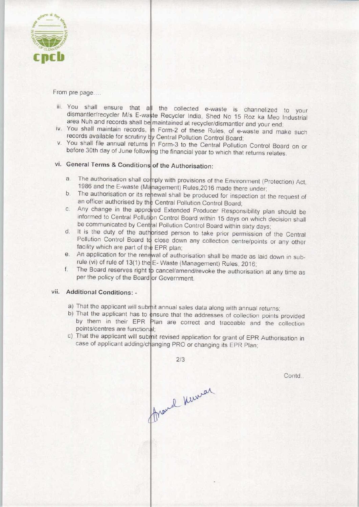

From pre page....

- iii. You shall ensure that  $a||$  the collected e-waste is channelized to your dismantler/recycler M/s E-waste Recycler India, Shed No 15 Roz ka Meo Industrial area Nuh and records shall be maintained at recycler/dismantler and your end
- iv. You shall maintain records, in Form-2 of these Rules, of e-waste and make such records available for scrutiny by Central Pollution Control Board
- v. You shall file annual returns in Form-3 to the Central Pollution Control Board on or before 30th day of June following the financial year to which that returns relates.

## vi. General Terms & Conditions of the Authorisation:

- a. The authorisation shall comply with provisions of the Environment (Protection) Act 1986 and the E-waste (Management) Rules, 2016 made there under 1986 and the E-waste (Management) Rules, 2016 made there under;<br>b. The authorisation or its renewal shall be produced for inspection at the request of
- an officer authorised by the Central Pollution Control Board an officer authorised by the Central Pollution Control Board;<br>
c. Any change in the approved Extended Producer Responsibility plan should be
- informed to Central Pollution Control Board within 15 days on which decision shall be communicated by Central Pollution Control Board within sixty days; be communicated by Central Pollution Control Board within sixty days;<br>d. It is the duty of the authorised person to take prior permission of the Central
- Pollution Control Board to close down any collection centre/points or any other facility which are part of the EPR plan; facility which are part of the EPR plan;<br>e. An application for the renewal of authorisation shall be made as laid down in sub-
- rule (vi) of rule of 13(1) the  $E$  Waste (Management) Rules, 2016; F. The approached for the energy of authorisation shall be made as laid down in sub-<br>rule (vi) of rule of 13(1) the E-Waste (Management) Rules, 2016;<br>f. The Board reserves right to cancel/amend/revoke the authorisation at
- per the policy of the Board or Government.

### vii. Additional Conditions: -

- a) That the applicant will submit annual sales data along with annual returns
- b) That the applicant has to ensure that the addresses of collection points provided by them in their EPR Plan are correct and traceable and the collection points/centres are functional;
- c) That the applicant will submit revised application for grant of EPR Authorisation in case of applicant adding/changing PRO or changing its EPR Plan

 $2/3$ france Kerner

Contd...